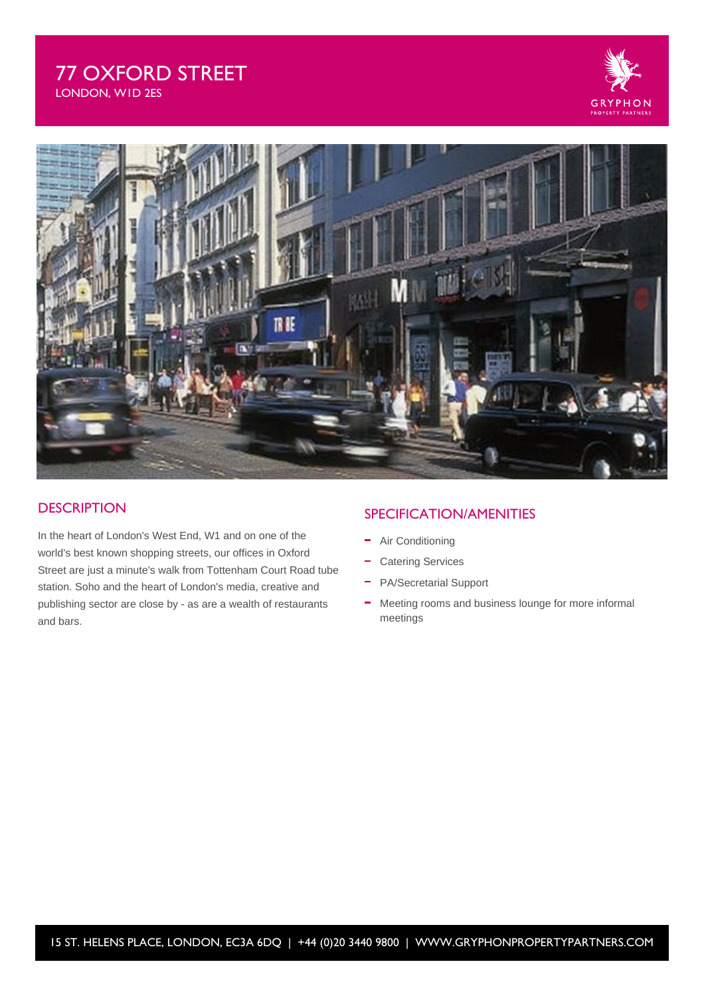# 77 OXFORD STREET LONDON, W1D 2ES





### **DESCRIPTION**

In the heart of London's West End, W1 and on one of the world's best known shopping streets, our offices in Oxford Street are just a minute's walk from Tottenham Court Road tube station. Soho and the heart of London's media, creative and publishing sector are close by - as are a wealth of restaurants and bars.

## SPECIFICATION/AMENITIES

- Air Conditioning
- Catering Services
- PA/Secretarial Support
- Meeting rooms and business lounge for more informal meetings